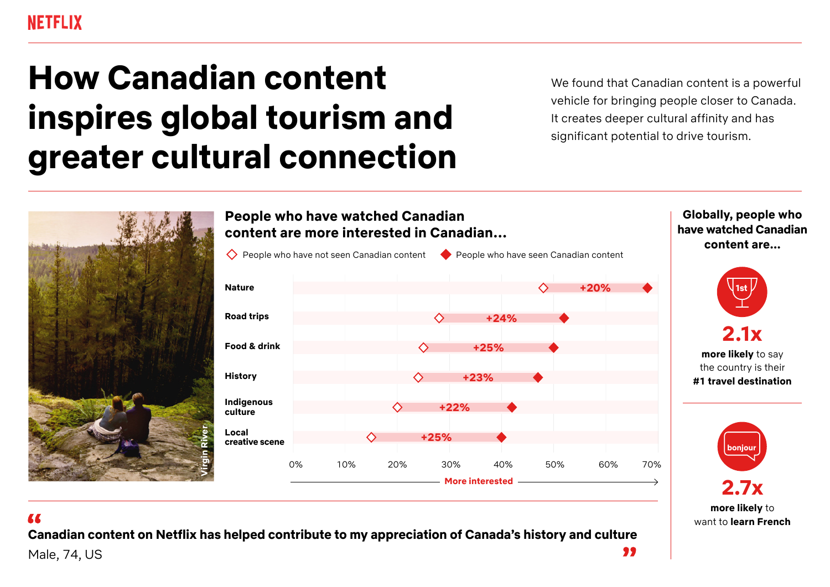# **How Canadian content inspires global tourism and greater cultural connection**

We found that Canadian content is a powerful vehicle for bringing people closer to Canada. It creates deeper cultural affinity and has significant potential to drive tourism.



### **People who have watched Canadian content are more interested in Canadian…**



**Globally, people who have watched Canadian content are...**





**Canadian content on Netflix has helped contribute to my appreciation of Canada's history and culture** 99 Male, 74, US